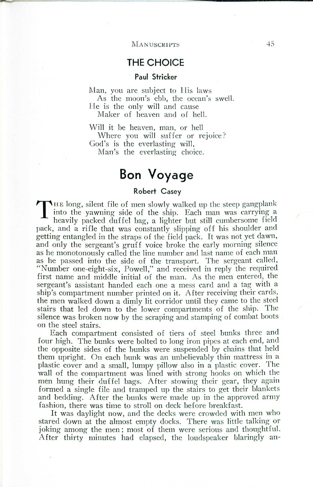# **Bon Voyage**

### **Robert** Casey

T  $\blacksquare$  IE long, silent file of men slowly walked up the steep gangplank into the yawning side of the ship. Each man was carrying a heavily packed duffel bag, a lighter but still cumbersome field pack, and a rifle that was constantly slipping off his shoulder and getting entangled in the straps of the field pack. It was not yet dawn, and only the sergeant's gruff voice broke the early morning silence as he monotonously called the line number and last name of each man as he passed into the side of the transport. The sergeant called, "Number one-eight-six, Powell," and received in reply the required first name and middle initial of the man. As the men entered, the sergeant's assistant handed each one a mess card and a tag with a ship's compartment number printed on it. After receiving their cards. the men walked down a dimly lit corridor until they came to the steel stairs that led down to the lower compartments of the ship. The silence was broken now by the scraping and stamping of combat boots on the steel stairs.

Each compartment consisted of tiers of steel bunks three and four high. The bunks were bolted to long iron pipes at each end, and the opposite sides of the bunks were suspended by chains that held them upright. On each bunk was an unbelievably thin mattress in a plastic cover and a small, lumpy pillow also in a plastic cover. The wall of the compartment was lined with strong hooks on which the men hung their duffel bags. After stowing their gear, they again formed a single file and tramped up the stairs to get their blankets and bedding. After the bunks were made up in the approved army fashion, there was time to stroll on deck before breakfast.

It was daylight now, and the decks were crowded with men who stared down at the almost empty docks. There was little talking or joking among the men; most of them were serious and thoughtful. After thirty minutes had elapsed, the loudspeaker blaringly an-